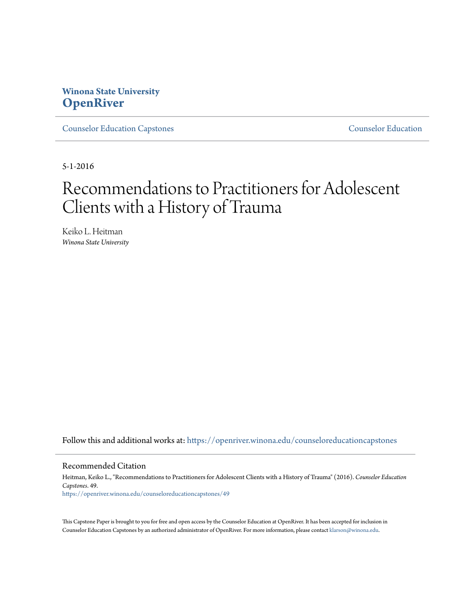## **Winona State University [OpenRiver](https://openriver.winona.edu?utm_source=openriver.winona.edu%2Fcounseloreducationcapstones%2F49&utm_medium=PDF&utm_campaign=PDFCoverPages)**

[Counselor Education Capstones](https://openriver.winona.edu/counseloreducationcapstones?utm_source=openriver.winona.edu%2Fcounseloreducationcapstones%2F49&utm_medium=PDF&utm_campaign=PDFCoverPages) [Counselor Education](https://openriver.winona.edu/counseloreducation?utm_source=openriver.winona.edu%2Fcounseloreducationcapstones%2F49&utm_medium=PDF&utm_campaign=PDFCoverPages)

5-1-2016

# Recommendations to Practitioners for Adolescent Clients with a History of Trauma

Keiko L. Heitman *Winona State University*

Follow this and additional works at: [https://openriver.winona.edu/counseloreducationcapstones](https://openriver.winona.edu/counseloreducationcapstones?utm_source=openriver.winona.edu%2Fcounseloreducationcapstones%2F49&utm_medium=PDF&utm_campaign=PDFCoverPages)

#### Recommended Citation

Heitman, Keiko L., "Recommendations to Practitioners for Adolescent Clients with a History of Trauma" (2016). *Counselor Education Capstones*. 49. [https://openriver.winona.edu/counseloreducationcapstones/49](https://openriver.winona.edu/counseloreducationcapstones/49?utm_source=openriver.winona.edu%2Fcounseloreducationcapstones%2F49&utm_medium=PDF&utm_campaign=PDFCoverPages)

This Capstone Paper is brought to you for free and open access by the Counselor Education at OpenRiver. It has been accepted for inclusion in Counselor Education Capstones by an authorized administrator of OpenRiver. For more information, please contact [klarson@winona.edu](mailto:klarson@winona.edu).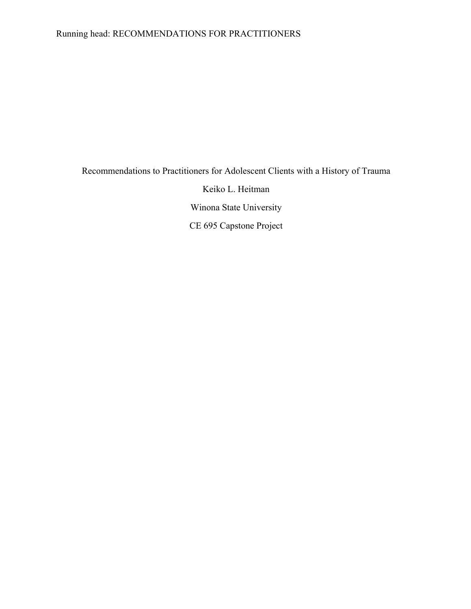## Running head: RECOMMENDATIONS FOR PRACTITIONERS

## Recommendations to Practitioners for Adolescent Clients with a History of Trauma Keiko L. Heitman Winona State University CE 695 Capstone Project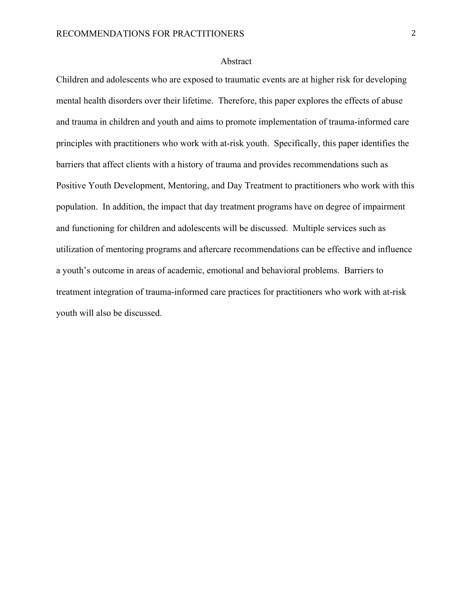#### Abstract

Children and adolescents who are exposed to traumatic events are at higher risk for developing mental health disorders over their lifetime. Therefore, this paper explores the effects of abuse and trauma in children and youth and aims to promote implementation of trauma-informed care principles with practitioners who work with at-risk youth. Specifically, this paper identifies the barriers that affect clients with a history of trauma and provides recommendations such as Positive Youth Development, Mentoring, and Day Treatment to practitioners who work with this population. In addition, the impact that day treatment programs have on degree of impairment and functioning for children and adolescents will be discussed. Multiple services such as utilization of mentoring programs and aftercare recommendations can be effective and influence a youth's outcome in areas of academic, emotional and behavioral problems. Barriers to treatment integration of trauma-informed care practices for practitioners who work with at-risk youth will also be discussed.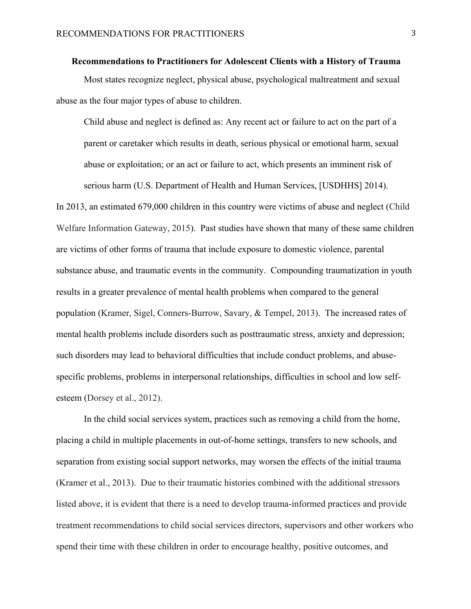**Recommendations to Practitioners for Adolescent Clients with a History of Trauma** Most states recognize neglect, physical abuse, psychological maltreatment and sexual abuse as the four major types of abuse to children.

Child abuse and neglect is defined as: Any recent act or failure to act on the part of a parent or caretaker which results in death, serious physical or emotional harm, sexual abuse or exploitation; or an act or failure to act, which presents an imminent risk of serious harm (U.S. Department of Health and Human Services, [USDHHS] 2014).

In 2013, an estimated 679,000 children in this country were victims of abuse and neglect (Child Welfare Information Gateway, 2015). Past studies have shown that many of these same children are victims of other forms of trauma that include exposure to domestic violence, parental substance abuse, and traumatic events in the community. Compounding traumatization in youth results in a greater prevalence of mental health problems when compared to the general population (Kramer, Sigel, Conners-Burrow, Savary, & Tempel, 2013). The increased rates of mental health problems include disorders such as posttraumatic stress, anxiety and depression; such disorders may lead to behavioral difficulties that include conduct problems, and abusespecific problems, problems in interpersonal relationships, difficulties in school and low selfesteem (Dorsey et al., 2012).

In the child social services system, practices such as removing a child from the home, placing a child in multiple placements in out-of-home settings, transfers to new schools, and separation from existing social support networks, may worsen the effects of the initial trauma (Kramer et al., 2013). Due to their traumatic histories combined with the additional stressors listed above, it is evident that there is a need to develop trauma-informed practices and provide treatment recommendations to child social services directors, supervisors and other workers who spend their time with these children in order to encourage healthy, positive outcomes, and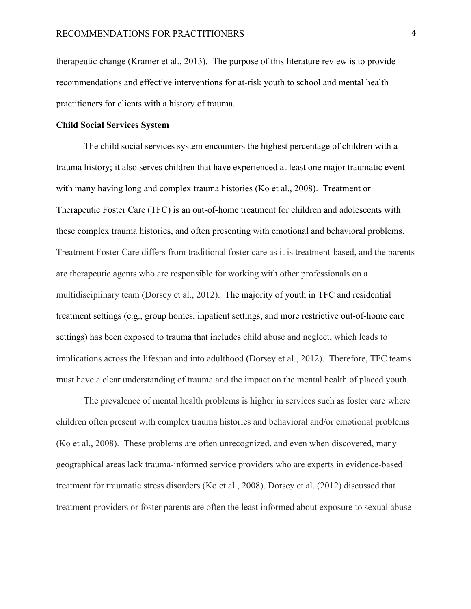therapeutic change (Kramer et al., 2013). The purpose of this literature review is to provide recommendations and effective interventions for at-risk youth to school and mental health practitioners for clients with a history of trauma.

#### **Child Social Services System**

The child social services system encounters the highest percentage of children with a trauma history; it also serves children that have experienced at least one major traumatic event with many having long and complex trauma histories (Ko et al., 2008). Treatment or Therapeutic Foster Care (TFC) is an out-of-home treatment for children and adolescents with these complex trauma histories, and often presenting with emotional and behavioral problems. Treatment Foster Care differs from traditional foster care as it is treatment-based, and the parents are therapeutic agents who are responsible for working with other professionals on a multidisciplinary team (Dorsey et al., 2012). The majority of youth in TFC and residential treatment settings (e.g., group homes, inpatient settings, and more restrictive out-of-home care settings) has been exposed to trauma that includes child abuse and neglect, which leads to implications across the lifespan and into adulthood (Dorsey et al., 2012). Therefore, TFC teams must have a clear understanding of trauma and the impact on the mental health of placed youth.

The prevalence of mental health problems is higher in services such as foster care where children often present with complex trauma histories and behavioral and/or emotional problems (Ko et al., 2008). These problems are often unrecognized, and even when discovered, many geographical areas lack trauma-informed service providers who are experts in evidence-based treatment for traumatic stress disorders (Ko et al., 2008). Dorsey et al. (2012) discussed that treatment providers or foster parents are often the least informed about exposure to sexual abuse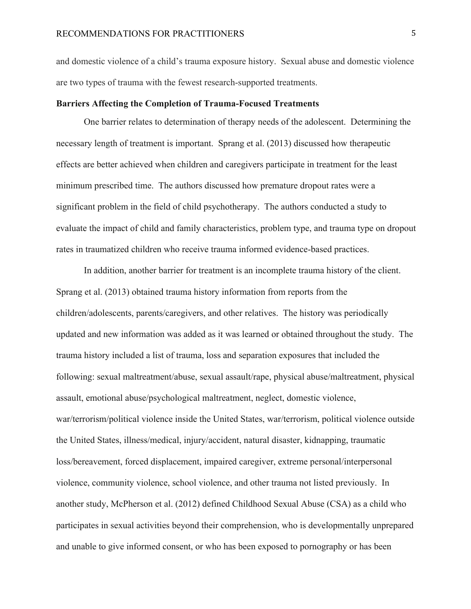and domestic violence of a child's trauma exposure history. Sexual abuse and domestic violence are two types of trauma with the fewest research-supported treatments.

#### **Barriers Affecting the Completion of Trauma-Focused Treatments**

One barrier relates to determination of therapy needs of the adolescent. Determining the necessary length of treatment is important. Sprang et al. (2013) discussed how therapeutic effects are better achieved when children and caregivers participate in treatment for the least minimum prescribed time. The authors discussed how premature dropout rates were a significant problem in the field of child psychotherapy. The authors conducted a study to evaluate the impact of child and family characteristics, problem type, and trauma type on dropout rates in traumatized children who receive trauma informed evidence-based practices.

In addition, another barrier for treatment is an incomplete trauma history of the client. Sprang et al. (2013) obtained trauma history information from reports from the children/adolescents, parents/caregivers, and other relatives. The history was periodically updated and new information was added as it was learned or obtained throughout the study. The trauma history included a list of trauma, loss and separation exposures that included the following: sexual maltreatment/abuse, sexual assault/rape, physical abuse/maltreatment, physical assault, emotional abuse/psychological maltreatment, neglect, domestic violence, war/terrorism/political violence inside the United States, war/terrorism, political violence outside the United States, illness/medical, injury/accident, natural disaster, kidnapping, traumatic loss/bereavement, forced displacement, impaired caregiver, extreme personal/interpersonal violence, community violence, school violence, and other trauma not listed previously. In another study, McPherson et al. (2012) defined Childhood Sexual Abuse (CSA) as a child who participates in sexual activities beyond their comprehension, who is developmentally unprepared and unable to give informed consent, or who has been exposed to pornography or has been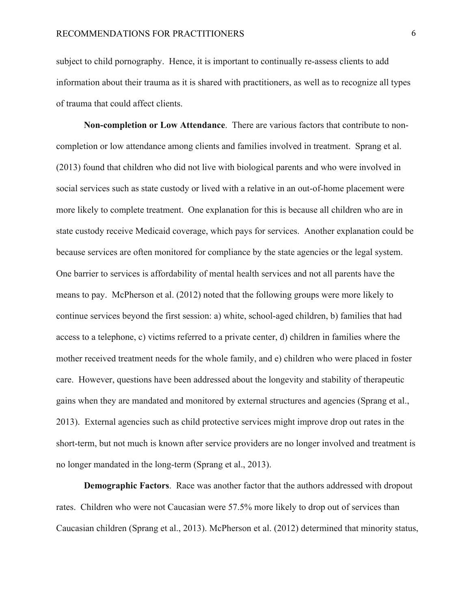subject to child pornography. Hence, it is important to continually re-assess clients to add information about their trauma as it is shared with practitioners, as well as to recognize all types of trauma that could affect clients.

**Non-completion or Low Attendance**. There are various factors that contribute to noncompletion or low attendance among clients and families involved in treatment. Sprang et al. (2013) found that children who did not live with biological parents and who were involved in social services such as state custody or lived with a relative in an out-of-home placement were more likely to complete treatment. One explanation for this is because all children who are in state custody receive Medicaid coverage, which pays for services. Another explanation could be because services are often monitored for compliance by the state agencies or the legal system. One barrier to services is affordability of mental health services and not all parents have the means to pay. McPherson et al. (2012) noted that the following groups were more likely to continue services beyond the first session: a) white, school-aged children, b) families that had access to a telephone, c) victims referred to a private center, d) children in families where the mother received treatment needs for the whole family, and e) children who were placed in foster care. However, questions have been addressed about the longevity and stability of therapeutic gains when they are mandated and monitored by external structures and agencies (Sprang et al., 2013). External agencies such as child protective services might improve drop out rates in the short-term, but not much is known after service providers are no longer involved and treatment is no longer mandated in the long-term (Sprang et al., 2013).

**Demographic Factors**. Race was another factor that the authors addressed with dropout rates. Children who were not Caucasian were 57.5% more likely to drop out of services than Caucasian children (Sprang et al., 2013). McPherson et al. (2012) determined that minority status,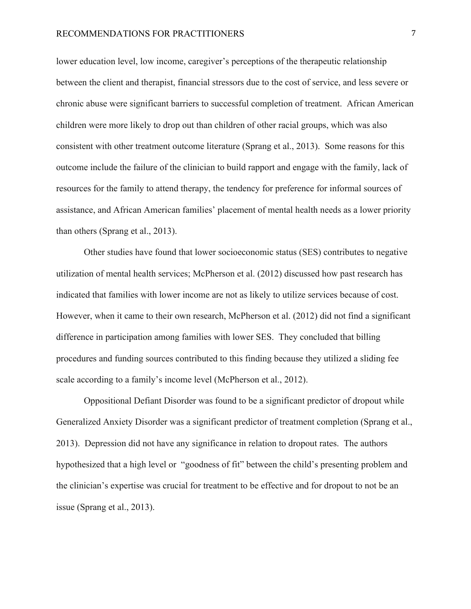#### RECOMMENDATIONS FOR PRACTITIONERS **7** 7

lower education level, low income, caregiver's perceptions of the therapeutic relationship between the client and therapist, financial stressors due to the cost of service, and less severe or chronic abuse were significant barriers to successful completion of treatment. African American children were more likely to drop out than children of other racial groups, which was also consistent with other treatment outcome literature (Sprang et al., 2013). Some reasons for this outcome include the failure of the clinician to build rapport and engage with the family, lack of resources for the family to attend therapy, the tendency for preference for informal sources of assistance, and African American families' placement of mental health needs as a lower priority than others (Sprang et al., 2013).

Other studies have found that lower socioeconomic status (SES) contributes to negative utilization of mental health services; McPherson et al. (2012) discussed how past research has indicated that families with lower income are not as likely to utilize services because of cost. However, when it came to their own research, McPherson et al. (2012) did not find a significant difference in participation among families with lower SES. They concluded that billing procedures and funding sources contributed to this finding because they utilized a sliding fee scale according to a family's income level (McPherson et al., 2012).

Oppositional Defiant Disorder was found to be a significant predictor of dropout while Generalized Anxiety Disorder was a significant predictor of treatment completion (Sprang et al., 2013). Depression did not have any significance in relation to dropout rates. The authors hypothesized that a high level or "goodness of fit" between the child's presenting problem and the clinician's expertise was crucial for treatment to be effective and for dropout to not be an issue (Sprang et al., 2013).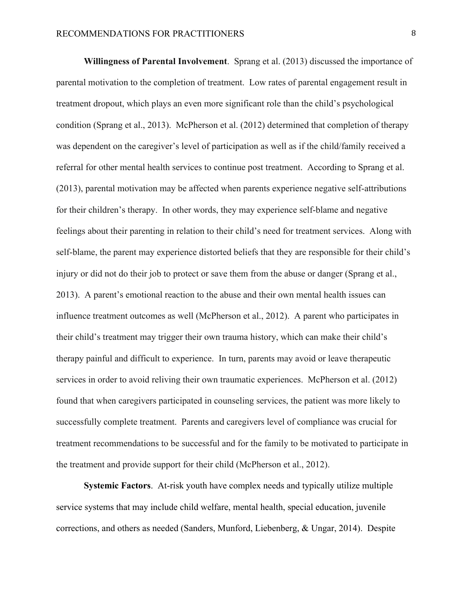**Willingness of Parental Involvement**. Sprang et al. (2013) discussed the importance of parental motivation to the completion of treatment. Low rates of parental engagement result in treatment dropout, which plays an even more significant role than the child's psychological condition (Sprang et al., 2013). McPherson et al. (2012) determined that completion of therapy was dependent on the caregiver's level of participation as well as if the child/family received a referral for other mental health services to continue post treatment. According to Sprang et al. (2013), parental motivation may be affected when parents experience negative self-attributions for their children's therapy. In other words, they may experience self-blame and negative feelings about their parenting in relation to their child's need for treatment services. Along with self-blame, the parent may experience distorted beliefs that they are responsible for their child's injury or did not do their job to protect or save them from the abuse or danger (Sprang et al., 2013). A parent's emotional reaction to the abuse and their own mental health issues can influence treatment outcomes as well (McPherson et al., 2012). A parent who participates in their child's treatment may trigger their own trauma history, which can make their child's therapy painful and difficult to experience. In turn, parents may avoid or leave therapeutic services in order to avoid reliving their own traumatic experiences. McPherson et al. (2012) found that when caregivers participated in counseling services, the patient was more likely to successfully complete treatment. Parents and caregivers level of compliance was crucial for treatment recommendations to be successful and for the family to be motivated to participate in the treatment and provide support for their child (McPherson et al., 2012).

**Systemic Factors**. At-risk youth have complex needs and typically utilize multiple service systems that may include child welfare, mental health, special education, juvenile corrections, and others as needed (Sanders, Munford, Liebenberg, & Ungar, 2014). Despite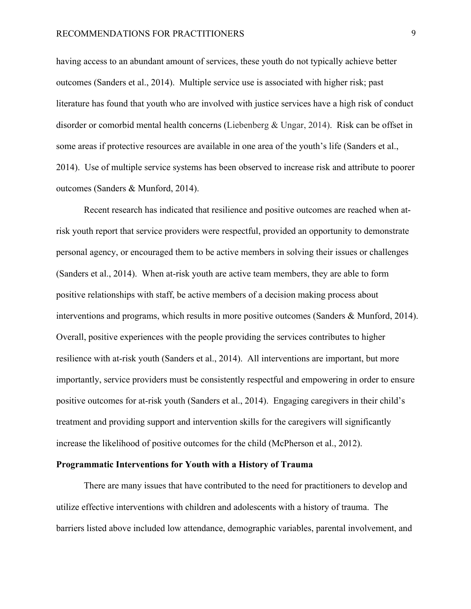having access to an abundant amount of services, these youth do not typically achieve better outcomes (Sanders et al., 2014). Multiple service use is associated with higher risk; past literature has found that youth who are involved with justice services have a high risk of conduct disorder or comorbid mental health concerns (Liebenberg & Ungar, 2014). Risk can be offset in some areas if protective resources are available in one area of the youth's life (Sanders et al., 2014). Use of multiple service systems has been observed to increase risk and attribute to poorer outcomes (Sanders & Munford, 2014).

Recent research has indicated that resilience and positive outcomes are reached when atrisk youth report that service providers were respectful, provided an opportunity to demonstrate personal agency, or encouraged them to be active members in solving their issues or challenges (Sanders et al., 2014). When at-risk youth are active team members, they are able to form positive relationships with staff, be active members of a decision making process about interventions and programs, which results in more positive outcomes (Sanders & Munford, 2014). Overall, positive experiences with the people providing the services contributes to higher resilience with at-risk youth (Sanders et al., 2014). All interventions are important, but more importantly, service providers must be consistently respectful and empowering in order to ensure positive outcomes for at-risk youth (Sanders et al., 2014). Engaging caregivers in their child's treatment and providing support and intervention skills for the caregivers will significantly increase the likelihood of positive outcomes for the child (McPherson et al., 2012).

#### **Programmatic Interventions for Youth with a History of Trauma**

There are many issues that have contributed to the need for practitioners to develop and utilize effective interventions with children and adolescents with a history of trauma. The barriers listed above included low attendance, demographic variables, parental involvement, and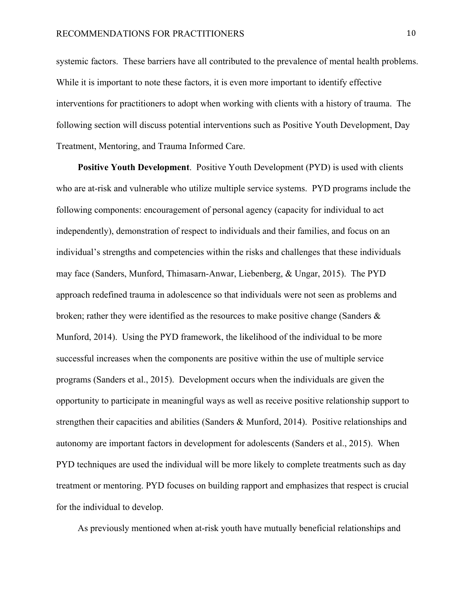systemic factors. These barriers have all contributed to the prevalence of mental health problems. While it is important to note these factors, it is even more important to identify effective interventions for practitioners to adopt when working with clients with a history of trauma. The following section will discuss potential interventions such as Positive Youth Development, Day Treatment, Mentoring, and Trauma Informed Care.

**Positive Youth Development**. Positive Youth Development (PYD) is used with clients who are at-risk and vulnerable who utilize multiple service systems. PYD programs include the following components: encouragement of personal agency (capacity for individual to act independently), demonstration of respect to individuals and their families, and focus on an individual's strengths and competencies within the risks and challenges that these individuals may face (Sanders, Munford, Thimasarn-Anwar, Liebenberg, & Ungar, 2015). The PYD approach redefined trauma in adolescence so that individuals were not seen as problems and broken; rather they were identified as the resources to make positive change (Sanders  $\&$ Munford, 2014). Using the PYD framework, the likelihood of the individual to be more successful increases when the components are positive within the use of multiple service programs (Sanders et al., 2015). Development occurs when the individuals are given the opportunity to participate in meaningful ways as well as receive positive relationship support to strengthen their capacities and abilities (Sanders & Munford, 2014). Positive relationships and autonomy are important factors in development for adolescents (Sanders et al., 2015). When PYD techniques are used the individual will be more likely to complete treatments such as day treatment or mentoring. PYD focuses on building rapport and emphasizes that respect is crucial for the individual to develop.

As previously mentioned when at-risk youth have mutually beneficial relationships and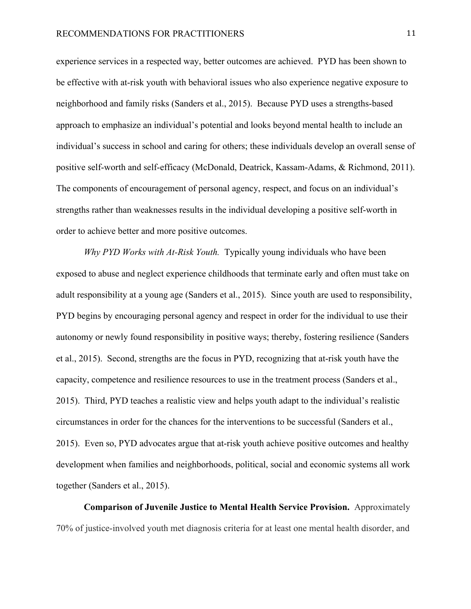experience services in a respected way, better outcomes are achieved. PYD has been shown to be effective with at-risk youth with behavioral issues who also experience negative exposure to neighborhood and family risks (Sanders et al., 2015). Because PYD uses a strengths-based approach to emphasize an individual's potential and looks beyond mental health to include an individual's success in school and caring for others; these individuals develop an overall sense of positive self-worth and self-efficacy (McDonald, Deatrick, Kassam-Adams, & Richmond, 2011). The components of encouragement of personal agency, respect, and focus on an individual's strengths rather than weaknesses results in the individual developing a positive self-worth in order to achieve better and more positive outcomes.

*Why PYD Works with At-Risk Youth.* Typically young individuals who have been exposed to abuse and neglect experience childhoods that terminate early and often must take on adult responsibility at a young age (Sanders et al., 2015). Since youth are used to responsibility, PYD begins by encouraging personal agency and respect in order for the individual to use their autonomy or newly found responsibility in positive ways; thereby, fostering resilience (Sanders et al., 2015). Second, strengths are the focus in PYD, recognizing that at-risk youth have the capacity, competence and resilience resources to use in the treatment process (Sanders et al., 2015). Third, PYD teaches a realistic view and helps youth adapt to the individual's realistic circumstances in order for the chances for the interventions to be successful (Sanders et al., 2015).Even so, PYD advocates argue that at-risk youth achieve positive outcomes and healthy development when families and neighborhoods, political, social and economic systems all work together (Sanders et al., 2015).

**Comparison of Juvenile Justice to Mental Health Service Provision.** Approximately 70% of justice-involved youth met diagnosis criteria for at least one mental health disorder, and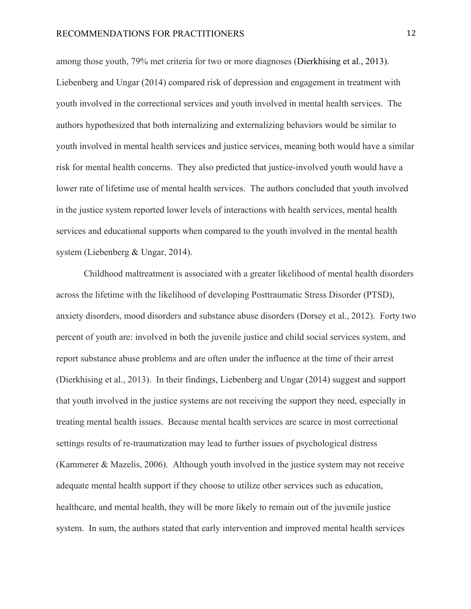among those youth, 79% met criteria for two or more diagnoses (Dierkhising et al., 2013). Liebenberg and Ungar (2014) compared risk of depression and engagement in treatment with youth involved in the correctional services and youth involved in mental health services. The authors hypothesized that both internalizing and externalizing behaviors would be similar to youth involved in mental health services and justice services, meaning both would have a similar risk for mental health concerns. They also predicted that justice-involved youth would have a lower rate of lifetime use of mental health services. The authors concluded that youth involved in the justice system reported lower levels of interactions with health services, mental health services and educational supports when compared to the youth involved in the mental health system (Liebenberg & Ungar, 2014).

Childhood maltreatment is associated with a greater likelihood of mental health disorders across the lifetime with the likelihood of developing Posttraumatic Stress Disorder (PTSD), anxiety disorders, mood disorders and substance abuse disorders (Dorsey et al., 2012). Forty two percent of youth are: involved in both the juvenile justice and child social services system, and report substance abuse problems and are often under the influence at the time of their arrest (Dierkhising et al., 2013). In their findings, Liebenberg and Ungar (2014) suggest and support that youth involved in the justice systems are not receiving the support they need, especially in treating mental health issues. Because mental health services are scarce in most correctional settings results of re-traumatization may lead to further issues of psychological distress (Kammerer & Mazelis, 2006). Although youth involved in the justice system may not receive adequate mental health support if they choose to utilize other services such as education, healthcare, and mental health, they will be more likely to remain out of the juvenile justice system. In sum, the authors stated that early intervention and improved mental health services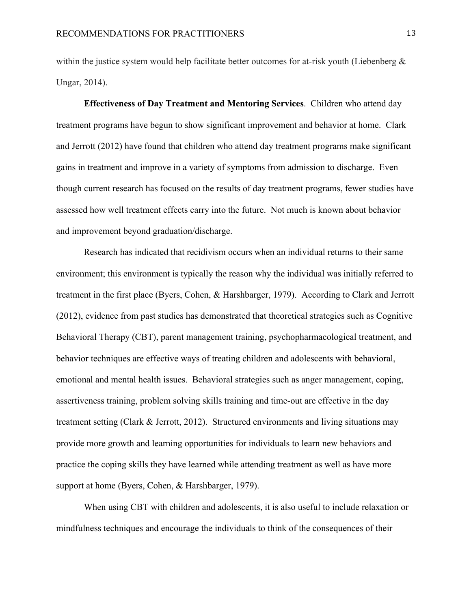within the justice system would help facilitate better outcomes for at-risk youth (Liebenberg  $\&$ Ungar, 2014).

**Effectiveness of Day Treatment and Mentoring Services**. Children who attend day treatment programs have begun to show significant improvement and behavior at home. Clark and Jerrott (2012) have found that children who attend day treatment programs make significant gains in treatment and improve in a variety of symptoms from admission to discharge. Even though current research has focused on the results of day treatment programs, fewer studies have assessed how well treatment effects carry into the future. Not much is known about behavior and improvement beyond graduation/discharge.

Research has indicated that recidivism occurs when an individual returns to their same environment; this environment is typically the reason why the individual was initially referred to treatment in the first place (Byers, Cohen, & Harshbarger, 1979). According to Clark and Jerrott (2012), evidence from past studies has demonstrated that theoretical strategies such as Cognitive Behavioral Therapy (CBT), parent management training, psychopharmacological treatment, and behavior techniques are effective ways of treating children and adolescents with behavioral, emotional and mental health issues. Behavioral strategies such as anger management, coping, assertiveness training, problem solving skills training and time-out are effective in the day treatment setting (Clark & Jerrott, 2012). Structured environments and living situations may provide more growth and learning opportunities for individuals to learn new behaviors and practice the coping skills they have learned while attending treatment as well as have more support at home (Byers, Cohen, & Harshbarger, 1979).

When using CBT with children and adolescents, it is also useful to include relaxation or mindfulness techniques and encourage the individuals to think of the consequences of their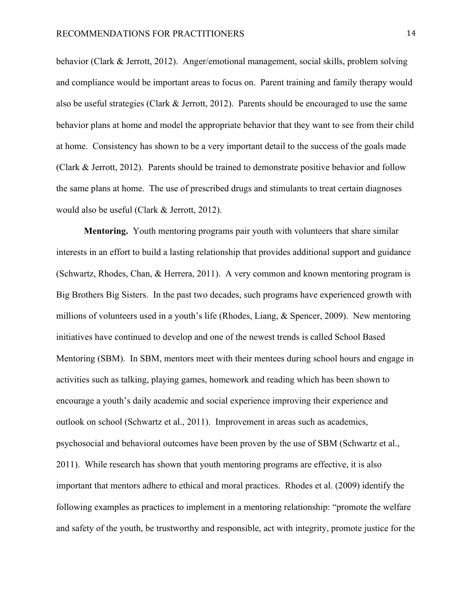behavior (Clark & Jerrott, 2012). Anger/emotional management, social skills, problem solving and compliance would be important areas to focus on. Parent training and family therapy would also be useful strategies (Clark  $&$  Jerrott, 2012). Parents should be encouraged to use the same behavior plans at home and model the appropriate behavior that they want to see from their child at home. Consistency has shown to be a very important detail to the success of the goals made (Clark & Jerrott, 2012). Parents should be trained to demonstrate positive behavior and follow the same plans at home. The use of prescribed drugs and stimulants to treat certain diagnoses would also be useful (Clark & Jerrott, 2012).

**Mentoring.** Youth mentoring programs pair youth with volunteers that share similar interests in an effort to build a lasting relationship that provides additional support and guidance (Schwartz, Rhodes, Chan, & Herrera, 2011). A very common and known mentoring program is Big Brothers Big Sisters. In the past two decades, such programs have experienced growth with millions of volunteers used in a youth's life (Rhodes, Liang, & Spencer, 2009). New mentoring initiatives have continued to develop and one of the newest trends is called School Based Mentoring (SBM). In SBM, mentors meet with their mentees during school hours and engage in activities such as talking, playing games, homework and reading which has been shown to encourage a youth's daily academic and social experience improving their experience and outlook on school (Schwartz et al., 2011). Improvement in areas such as academics, psychosocial and behavioral outcomes have been proven by the use of SBM (Schwartz et al., 2011). While research has shown that youth mentoring programs are effective, it is also important that mentors adhere to ethical and moral practices. Rhodes et al. (2009) identify the following examples as practices to implement in a mentoring relationship: "promote the welfare and safety of the youth, be trustworthy and responsible, act with integrity, promote justice for the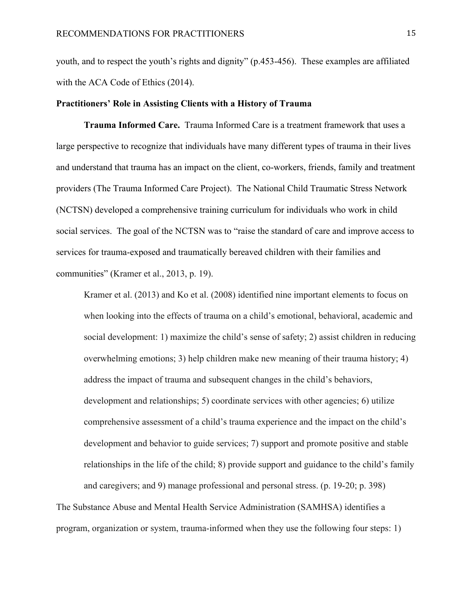youth, and to respect the youth's rights and dignity" (p.453-456). These examples are affiliated with the ACA Code of Ethics (2014).

#### **Practitioners' Role in Assisting Clients with a History of Trauma**

**Trauma Informed Care.** Trauma Informed Care is a treatment framework that uses a large perspective to recognize that individuals have many different types of trauma in their lives and understand that trauma has an impact on the client, co-workers, friends, family and treatment providers (The Trauma Informed Care Project). The National Child Traumatic Stress Network (NCTSN) developed a comprehensive training curriculum for individuals who work in child social services. The goal of the NCTSN was to "raise the standard of care and improve access to services for trauma-exposed and traumatically bereaved children with their families and communities" (Kramer et al., 2013, p. 19).

Kramer et al. (2013) and Ko et al. (2008) identified nine important elements to focus on when looking into the effects of trauma on a child's emotional, behavioral, academic and social development: 1) maximize the child's sense of safety; 2) assist children in reducing overwhelming emotions; 3) help children make new meaning of their trauma history; 4) address the impact of trauma and subsequent changes in the child's behaviors, development and relationships; 5) coordinate services with other agencies; 6) utilize comprehensive assessment of a child's trauma experience and the impact on the child's development and behavior to guide services; 7) support and promote positive and stable relationships in the life of the child; 8) provide support and guidance to the child's family and caregivers; and 9) manage professional and personal stress. (p. 19-20; p. 398)

The Substance Abuse and Mental Health Service Administration (SAMHSA) identifies a program, organization or system, trauma-informed when they use the following four steps: 1)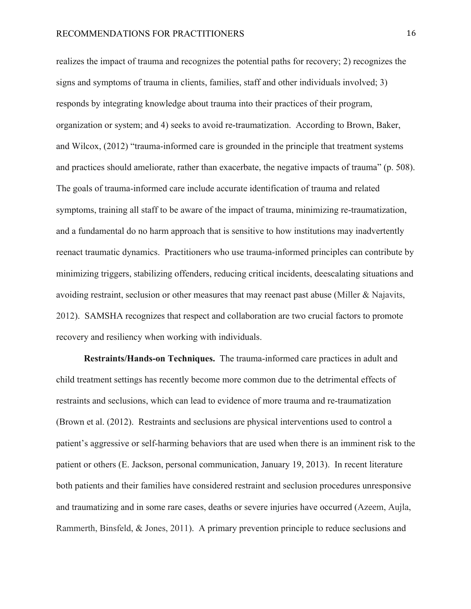realizes the impact of trauma and recognizes the potential paths for recovery; 2) recognizes the signs and symptoms of trauma in clients, families, staff and other individuals involved; 3) responds by integrating knowledge about trauma into their practices of their program, organization or system; and 4) seeks to avoid re-traumatization. According to Brown, Baker, and Wilcox, (2012) "trauma-informed care is grounded in the principle that treatment systems and practices should ameliorate, rather than exacerbate, the negative impacts of trauma" (p. 508). The goals of trauma-informed care include accurate identification of trauma and related symptoms, training all staff to be aware of the impact of trauma, minimizing re-traumatization, and a fundamental do no harm approach that is sensitive to how institutions may inadvertently reenact traumatic dynamics. Practitioners who use trauma-informed principles can contribute by minimizing triggers, stabilizing offenders, reducing critical incidents, deescalating situations and avoiding restraint, seclusion or other measures that may reenact past abuse (Miller & Najavits, 2012). SAMSHA recognizes that respect and collaboration are two crucial factors to promote recovery and resiliency when working with individuals.

**Restraints/Hands-on Techniques.** The trauma-informed care practices in adult and child treatment settings has recently become more common due to the detrimental effects of restraints and seclusions, which can lead to evidence of more trauma and re-traumatization (Brown et al. (2012). Restraints and seclusions are physical interventions used to control a patient's aggressive or self-harming behaviors that are used when there is an imminent risk to the patient or others (E. Jackson, personal communication, January 19, 2013). In recent literature both patients and their families have considered restraint and seclusion procedures unresponsive and traumatizing and in some rare cases, deaths or severe injuries have occurred (Azeem, Aujla, Rammerth, Binsfeld, & Jones, 2011). A primary prevention principle to reduce seclusions and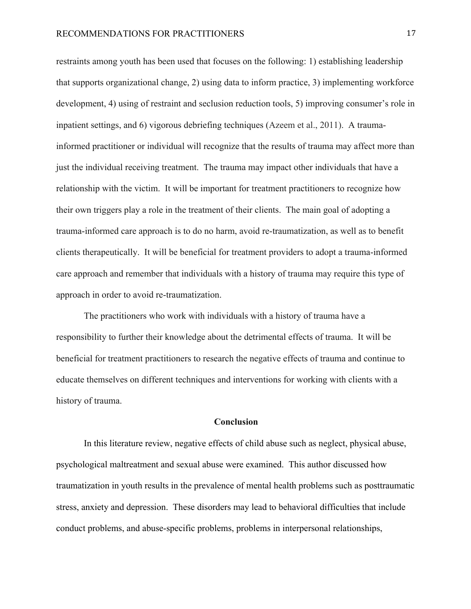restraints among youth has been used that focuses on the following: 1) establishing leadership that supports organizational change, 2) using data to inform practice, 3) implementing workforce development, 4) using of restraint and seclusion reduction tools, 5) improving consumer's role in inpatient settings, and 6) vigorous debriefing techniques (Azeem et al., 2011). A traumainformed practitioner or individual will recognize that the results of trauma may affect more than just the individual receiving treatment. The trauma may impact other individuals that have a relationship with the victim. It will be important for treatment practitioners to recognize how their own triggers play a role in the treatment of their clients. The main goal of adopting a trauma-informed care approach is to do no harm, avoid re-traumatization, as well as to benefit clients therapeutically. It will be beneficial for treatment providers to adopt a trauma-informed care approach and remember that individuals with a history of trauma may require this type of approach in order to avoid re-traumatization.

The practitioners who work with individuals with a history of trauma have a responsibility to further their knowledge about the detrimental effects of trauma. It will be beneficial for treatment practitioners to research the negative effects of trauma and continue to educate themselves on different techniques and interventions for working with clients with a history of trauma.

#### **Conclusion**

In this literature review, negative effects of child abuse such as neglect, physical abuse, psychological maltreatment and sexual abuse were examined. This author discussed how traumatization in youth results in the prevalence of mental health problems such as posttraumatic stress, anxiety and depression. These disorders may lead to behavioral difficulties that include conduct problems, and abuse-specific problems, problems in interpersonal relationships,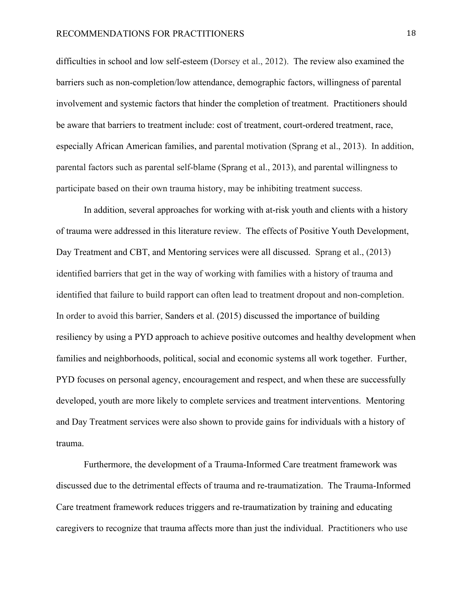difficulties in school and low self-esteem (Dorsey et al., 2012). The review also examined the barriers such as non-completion/low attendance, demographic factors, willingness of parental involvement and systemic factors that hinder the completion of treatment. Practitioners should be aware that barriers to treatment include: cost of treatment, court-ordered treatment, race, especially African American families, and parental motivation (Sprang et al., 2013). In addition, parental factors such as parental self-blame (Sprang et al., 2013), and parental willingness to participate based on their own trauma history, may be inhibiting treatment success.

In addition, several approaches for working with at-risk youth and clients with a history of trauma were addressed in this literature review. The effects of Positive Youth Development, Day Treatment and CBT, and Mentoring services were all discussed. Sprang et al., (2013) identified barriers that get in the way of working with families with a history of trauma and identified that failure to build rapport can often lead to treatment dropout and non-completion. In order to avoid this barrier, Sanders et al. (2015) discussed the importance of building resiliency by using a PYD approach to achieve positive outcomes and healthy development when families and neighborhoods, political, social and economic systems all work together. Further, PYD focuses on personal agency, encouragement and respect, and when these are successfully developed, youth are more likely to complete services and treatment interventions. Mentoring and Day Treatment services were also shown to provide gains for individuals with a history of trauma.

Furthermore, the development of a Trauma-Informed Care treatment framework was discussed due to the detrimental effects of trauma and re-traumatization. The Trauma-Informed Care treatment framework reduces triggers and re-traumatization by training and educating caregivers to recognize that trauma affects more than just the individual. Practitioners who use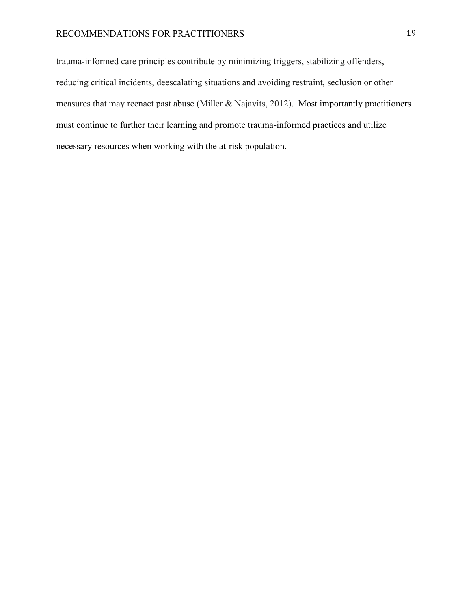### RECOMMENDATIONS FOR PRACTITIONERS 19

trauma-informed care principles contribute by minimizing triggers, stabilizing offenders, reducing critical incidents, deescalating situations and avoiding restraint, seclusion or other measures that may reenact past abuse (Miller & Najavits, 2012). Most importantly practitioners must continue to further their learning and promote trauma-informed practices and utilize necessary resources when working with the at-risk population.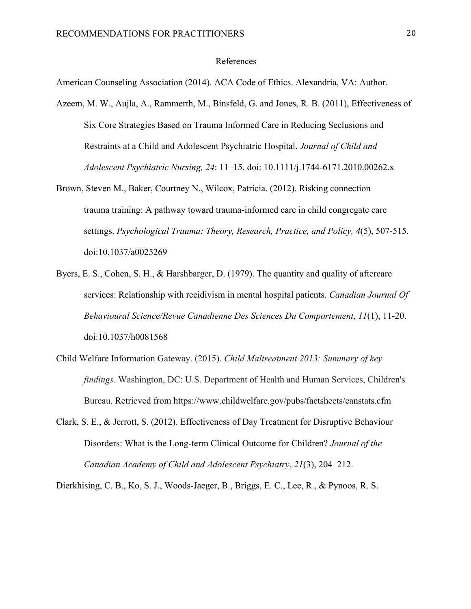#### References

American Counseling Association (2014). ACA Code of Ethics. Alexandria, VA: Author.

- Azeem, M. W., Aujla, A., Rammerth, M., Binsfeld, G. and Jones, R. B. (2011), Effectiveness of Six Core Strategies Based on Trauma Informed Care in Reducing Seclusions and Restraints at a Child and Adolescent Psychiatric Hospital. *Journal of Child and Adolescent Psychiatric Nursing, 24*: 11–15. doi: 10.1111/j.1744-6171.2010.00262.x
- Brown, Steven M., Baker, Courtney N., Wilcox, Patricia. (2012). Risking connection trauma training: A pathway toward trauma-informed care in child congregate care settings. *Psychological Trauma: Theory, Research, Practice, and Policy, 4*(5), 507-515. doi:10.1037/a0025269
- Byers, E. S., Cohen, S. H., & Harshbarger, D. (1979). The quantity and quality of aftercare services: Relationship with recidivism in mental hospital patients. *Canadian Journal Of Behavioural Science/Revue Canadienne Des Sciences Du Comportement*, *11*(1), 11-20. doi:10.1037/h0081568
- Child Welfare Information Gateway. (2015). *Child Maltreatment 2013: Summary of key findings.* Washington, DC: U.S. Department of Health and Human Services, Children's Bureau. Retrieved from https://www.childwelfare.gov/pubs/factsheets/canstats.cfm
- Clark, S. E., & Jerrott, S. (2012). Effectiveness of Day Treatment for Disruptive Behaviour Disorders: What is the Long-term Clinical Outcome for Children? *Journal of the Canadian Academy of Child and Adolescent Psychiatry*, *21*(3), 204–212.

Dierkhising, C. B., Ko, S. J., Woods-Jaeger, B., Briggs, E. C., Lee, R., & Pynoos, R. S.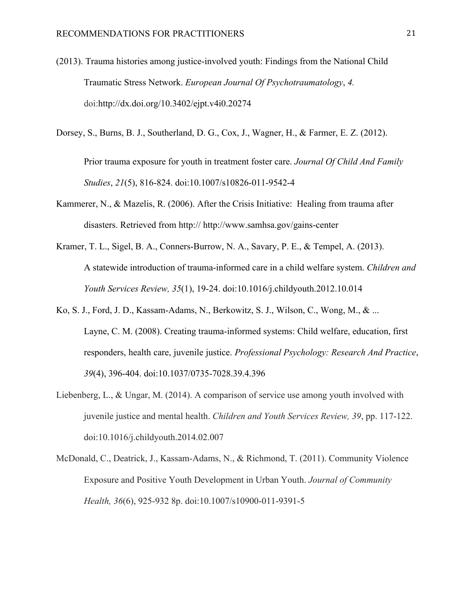- (2013). Trauma histories among justice-involved youth: Findings from the National Child Traumatic Stress Network. *European Journal Of Psychotraumatology*, *4.*  doi:http://dx.doi.org/10.3402/ejpt.v4i0.20274
- Dorsey, S., Burns, B. J., Southerland, D. G., Cox, J., Wagner, H., & Farmer, E. Z. (2012).

Prior trauma exposure for youth in treatment foster care. *Journal Of Child And Family Studies*, *21*(5), 816-824. doi:10.1007/s10826-011-9542-4

- Kammerer, N., & Mazelis, R. (2006). After the Crisis Initiative: Healing from trauma after disasters. Retrieved from http:// http://www.samhsa.gov/gains-center
- Kramer, T. L., Sigel, B. A., Conners-Burrow, N. A., Savary, P. E., & Tempel, A. (2013). A statewide introduction of trauma-informed care in a child welfare system. *Children and Youth Services Review, 35*(1), 19-24. doi:10.1016/j.childyouth.2012.10.014
- Ko, S. J., Ford, J. D., Kassam-Adams, N., Berkowitz, S. J., Wilson, C., Wong, M., & ... Layne, C. M. (2008). Creating trauma-informed systems: Child welfare, education, first responders, health care, juvenile justice. *Professional Psychology: Research And Practice*, *39*(4), 396-404. doi:10.1037/0735-7028.39.4.396
- Liebenberg, L., & Ungar, M. (2014). A comparison of service use among youth involved with juvenile justice and mental health. *Children and Youth Services Review, 39*, pp. 117-122. doi:10.1016/j.childyouth.2014.02.007
- McDonald, C., Deatrick, J., Kassam-Adams, N., & Richmond, T. (2011). Community Violence Exposure and Positive Youth Development in Urban Youth. *Journal of Community Health, 36*(6), 925-932 8p. doi:10.1007/s10900-011-9391-5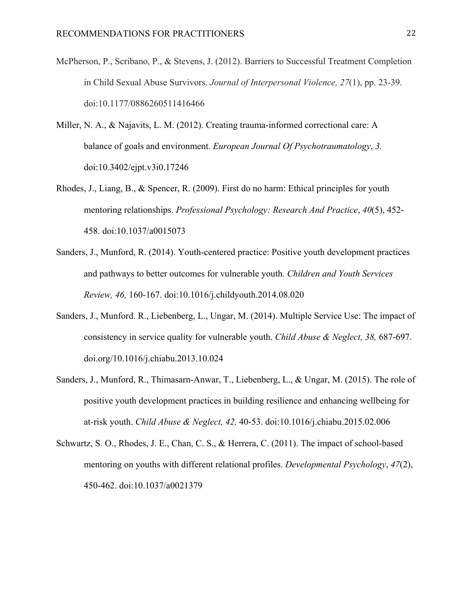- McPherson, P., Scribano, P., & Stevens, J. (2012). Barriers to Successful Treatment Completion in Child Sexual Abuse Survivors. *Journal of Interpersonal Violence, 27*(1), pp. 23-39. doi:10.1177/0886260511416466
- Miller, N. A., & Najavits, L. M. (2012). Creating trauma-informed correctional care: A balance of goals and environment. *European Journal Of Psychotraumatology*, *3.*  doi:10.3402/ejpt.v3i0.17246
- Rhodes, J., Liang, B., & Spencer, R. (2009). First do no harm: Ethical principles for youth mentoring relationships. *Professional Psychology: Research And Practice*, *40*(5), 452- 458. doi:10.1037/a0015073
- Sanders, J., Munford, R. (2014). Youth-centered practice: Positive youth development practices and pathways to better outcomes for vulnerable youth. *Children and Youth Services Review, 46,* 160-167. doi:10.1016/j.childyouth.2014.08.020
- Sanders, J., Munford. R., Liebenberg, L., Ungar, M. (2014). Multiple Service Use: The impact of consistency in service quality for vulnerable youth. *Child Abuse & Neglect, 38,* 687-697. doi.org/10.1016/j.chiabu.2013.10.024
- Sanders, J., Munford, R., Thimasarn-Anwar, T., Liebenberg, L., & Ungar, M. (2015). The role of positive youth development practices in building resilience and enhancing wellbeing for at-risk youth. *Child Abuse & Neglect, 42,* 40-53. doi:10.1016/j.chiabu.2015.02.006
- Schwartz, S. O., Rhodes, J. E., Chan, C. S., & Herrera, C. (2011). The impact of school-based mentoring on youths with different relational profiles. *Developmental Psychology*, *47*(2), 450-462. doi:10.1037/a0021379